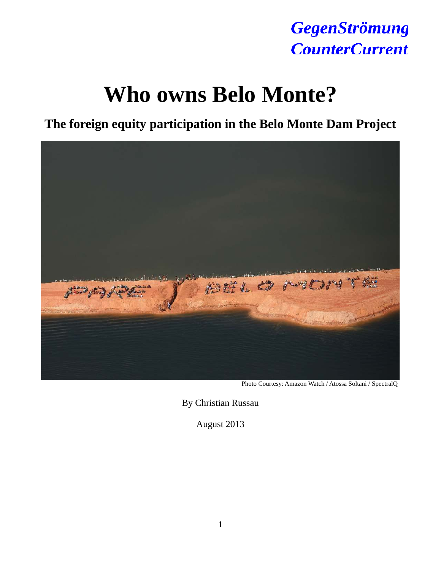## **GegenStrömung CounterCurrent**

# **Who owns Belo Monte?**

**The foreign equity participation in the Belo Monte Dam Project**



Photo Courtesy: Amazon Watch / Atossa Soltani / SpectralQ

By Christian Russau

August 2013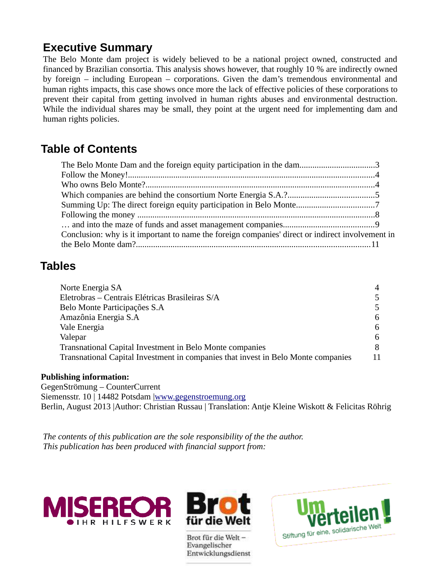### **Executive Summary**

The Belo Monte dam project is widely believed to be a national project owned, constructed and financed by Brazilian consortia. This analysis shows however, that roughly 10 % are indirectly owned by foreign – including European – corporations. Given the dam's tremendous environmental and human rights impacts, this case shows once more the lack of effective policies of these corporations to prevent their capital from getting involved in human rights abuses and environmental destruction. While the individual shares may be small, they point at the urgent need for implementing dam and human rights policies.

## **Table of Contents**

| Conclusion: why is it important to name the foreign companies' direct or indirect involvement in |  |
|--------------------------------------------------------------------------------------------------|--|
|                                                                                                  |  |

## **Tables**

| 4                                                                                       |
|-----------------------------------------------------------------------------------------|
| 5                                                                                       |
| 5.                                                                                      |
| 6                                                                                       |
| 6                                                                                       |
| 6                                                                                       |
| 8                                                                                       |
| Transnational Capital Investment in companies that invest in Belo Monte companies<br>11 |
|                                                                                         |

#### **Publishing information:**

GegenStrömung – CounterCurrent Siemensstr. 10 | 14482 Potsdam [|www.gegenstroemung.org](http://www.gegenstroemung.org/) Berlin, August 2013 |Author: Christian Russau | Translation: Antje Kleine Wiskott & Felicitas Röhrig

*The contents of this publication are the sole responsibility of the the author. This publication has been produced with financial support from:*





Brot für die Welt-Evangelischer Entwicklungsdienst

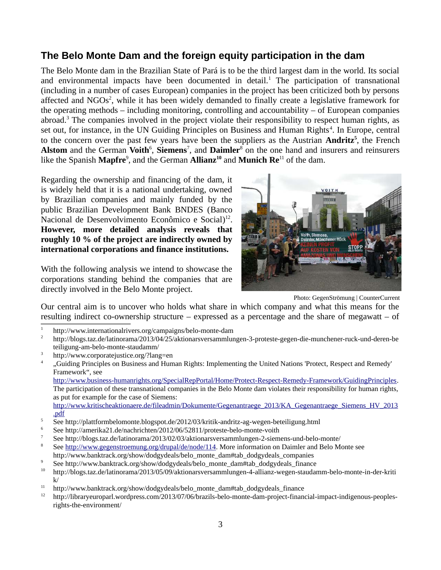#### <span id="page-2-0"></span>**The Belo Monte Dam and the foreign equity participation in the dam**

The Belo Monte dam in the Brazilian State of Pará is to be the third largest dam in the world. Its social and environmental impacts have been documented in detail.<sup>[1](#page-2-1)</sup> The participation of transnational (including in a number of cases European) companies in the project has been criticized both by persons affected and NGOs<sup>[2](#page-2-2)</sup>, while it has been widely demanded to finally create a legislative framework for the operating methods – including monitoring, controlling and accountability – of European companies abroad.<sup>[3](#page-2-3)</sup> The companies involved in the project violate their responsibility to respect human rights, as set out, for instance, in the UN Guiding Principles on Business and Human Rights<sup>[4](#page-2-4)</sup>. In Europe, central to the concern over the past few years have been the suppliers as the Austrian **Andritz[5](#page-2-5)** , the French **Alstom** and the German **Voith**[6](#page-2-6) , **Siemens**[7](#page-2-7) , and **Daimler**[8](#page-2-8) on the one hand and insurers and reinsurers like the Spanish **Mapfre**[9](#page-2-9) , and the German **Allianz[10](#page-2-10)** and **Munich Re**[11](#page-2-11) of the dam.

Regarding the ownership and financing of the dam, it is widely held that it is a national undertaking, owned by Brazilian companies and mainly funded by the public Brazilian Development Bank BNDES (Banco Nacional de Desenvolvimento Econômico e Social $)^{12}$  $)^{12}$  $)^{12}$ . **However, more detailed analysis reveals that roughly 10 % of the project are indirectly owned by international corporations and finance institutions.**

With the following analysis we intend to showcase the corporations standing behind the companies that are directly involved in the Belo Monte project.



Photo: GegenStrömung | CounterCurrent

Our central aim is to uncover who holds what share in which company and what this means for the resulting indirect co-ownership structure – expressed as a percentage and the share of megawatt – of

[http://www.business-humanrights.org/SpecialRepPortal/Home/Protect-Respect-Remedy-Framework/GuidingPrinciples.](http://www.business-humanrights.org/SpecialRepPortal/Home/Protect-Respect-Remedy-Framework/GuidingPrinciples) The participation of these transnational companies in the Belo Monte dam violates their responsibility for human rights, as put for example for the case of Siemens:

[http://www.kritischeaktionaere.de/fileadmin/Dokumente/Gegenantraege\\_2013/KA\\_Gegenantraege\\_Siemens\\_HV\\_2013](http://www.kritischeaktionaere.de/fileadmin/Dokumente/Gegenantraege_2013/KA_Gegenantraege_Siemens_HV_2013.pdf) [.pdf](http://www.kritischeaktionaere.de/fileadmin/Dokumente/Gegenantraege_2013/KA_Gegenantraege_Siemens_HV_2013.pdf)

- <span id="page-2-5"></span> $\frac{5}{5}$  See http://plattformbelomonte.blogspot.de/2012/03/kritik-andritz-ag-wegen-beteiligung.html
- <span id="page-2-6"></span><sup>6</sup> See http://amerika21.de/nachrichten/2012/06/52811/proteste-belo-monte-voith
- <span id="page-2-7"></span>7 See http://blogs.taz.de/latinorama/2013/02/03/aktionarsversammlungen-2-siemens-und-belo-monte/<br>8 See http://www.gegenetreemung.org/drupal/de/pede/114 More information on Deimler and Bole M

<span id="page-2-9"></span><sup>9</sup> See http://www.banktrack.org/show/dodgydeals/belo\_monte\_dam#tab\_dodgydeals\_finance

<span id="page-2-1"></span><sup>1</sup> http://www.internationalrivers.org/campaigns/belo-monte-dam

<span id="page-2-2"></span><sup>2</sup> http://blogs.taz.de/latinorama/2013/04/25/aktionarsversammlungen-3-proteste-gegen-die-munchener-ruck-und-deren-be teiligung-am-belo-monte-staudamm/

<span id="page-2-3"></span><sup>3</sup> http://www.corporatejustice.org/?lang=en

<span id="page-2-4"></span><sup>4</sup> "Guiding Principles on Business and Human Rights: Implementing the United Nations 'Protect, Respect and Remedy' Framework", see

<span id="page-2-8"></span>See [http://www.gegenstroemung.org/drupal/de/node/114.](http://www.gegenstroemung.org/drupal/de/node/114) More information on Daimler and Belo Monte see http://www.banktrack.org/show/dodgydeals/belo\_monte\_dam#tab\_dodgydeals\_companies

<span id="page-2-10"></span><sup>10</sup> http://blogs.taz.de/latinorama/2013/05/09/aktionarsversammlungen-4-allianz-wegen-staudamm-belo-monte-in-der-kriti  $k/$ 

<span id="page-2-11"></span><sup>&</sup>lt;sup>11</sup> http://www.banktrack.org/show/dodgydeals/belo\_monte\_dam#tab\_dodgydeals\_finance<br><sup>12</sup> http://libraryouroparl.wordpress.com/2013/07/06/brazils.belo\_monte\_dam\_project\_finance

<span id="page-2-12"></span><sup>12</sup> http://libraryeuroparl.wordpress.com/2013/07/06/brazils-belo-monte-dam-project-financial-impact-indigenous-peoplesrights-the-environment/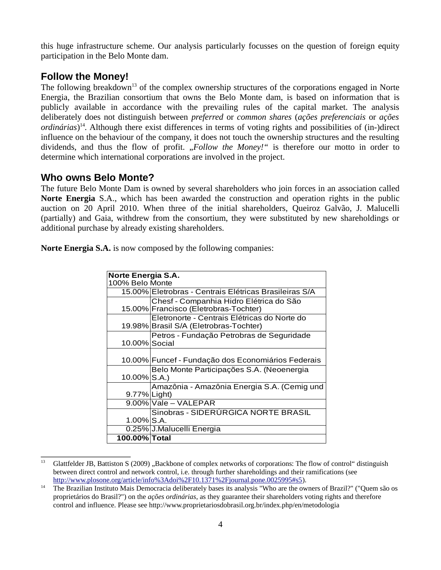this huge infrastructure scheme. Our analysis particularly focusses on the question of foreign equity participation in the Belo Monte dam.

#### <span id="page-3-1"></span>**Follow the Money!**

The following breakdown<sup>[13](#page-3-2)</sup> of the complex ownership structures of the corporations engaged in Norte Energia, the Brazilian consortium that owns the Belo Monte dam, is based on information that is publicly available in accordance with the prevailing rules of the capital market. The analysis deliberately does not distinguish between *preferred* or *common shares* (*ações preferenciais* or *ações ordinárias*) [14](#page-3-3) *.* Although there exist differences in terms of voting rights and possibilities of (in-)direct influence on the behaviour of the company, it does not touch the ownership structures and the resulting dividends, and thus the flow of profit. "Follow the Money!" is therefore our motto in order to determine which international corporations are involved in the project.

#### <span id="page-3-0"></span>**Who owns Belo Monte?**

The future Belo Monte Dam is owned by several shareholders who join forces in an association called **Norte Energia** S.A., which has been awarded the construction and operation rights in the public auction on 20 April 2010. When three of the initial shareholders, Queiroz Galvão, J. Malucelli (partially) and Gaia, withdrew from the consortium, they were substituted by new shareholdings or additional purchase by already existing shareholders.

**Norte Energia S.A.** is now composed by the following companies:

|               | Norte Energia S.A.                                                                     |  |  |
|---------------|----------------------------------------------------------------------------------------|--|--|
|               | 100% Belo Monte                                                                        |  |  |
|               | 15.00% Eletrobras - Centrais Elétricas Brasileiras S/A                                 |  |  |
|               | Chesf - Companhia Hidro Elétrica do São<br>15.00% Francisco (Eletrobras-Tochter)       |  |  |
|               | Eletronorte - Centrais Elétricas do Norte do<br>19.98% Brasil S/A (Eletrobras-Tochter) |  |  |
| 10.00% Social | Petros - Fundação Petrobras de Seguridade                                              |  |  |
|               | 10.00% Funcef - Fundação dos Economiários Federais                                     |  |  |
| 10.00% S.A.)  | Belo Monte Participações S.A. (Neoenergia                                              |  |  |
| 9.77% Light)  | Amazônia - Amazônia Energia S.A. (Cemig und                                            |  |  |
|               | 9.00% Vale - VALEPAR                                                                   |  |  |
|               | Sinobras - SIDERÚRGICA NORTE BRASIL                                                    |  |  |
| $1.00\%$ S.A. |                                                                                        |  |  |
|               | 0.25% J.Malucelli Energia                                                              |  |  |
| 100.00% Total |                                                                                        |  |  |

<span id="page-3-2"></span><sup>&</sup>lt;sup>13</sup> Glattfelder JB, Battiston S (2009) "Backbone of complex networks of corporations: The flow of control" distinguish between direct control and network control, i.e. through further shareholdings and their ramifications (see [http://www.plosone.org/article/info%3Adoi%2F10.1371%2Fjournal.pone.0025995#s5\)](http://www.plosone.org/article/info%3Adoi%2F10.1371%2Fjournal.pone.0025995#s5).

<span id="page-3-3"></span><sup>14</sup> The Brazilian Instituto Mais Democracia deliberately bases its analysis "Who are the owners of Brazil?" ("Quem são os proprietários do Brasil?") on the *ações ordinárias*, as they guarantee their shareholders voting rights and therefore control and influence. Please see http://www.proprietariosdobrasil.org.br/index.php/en/metodologia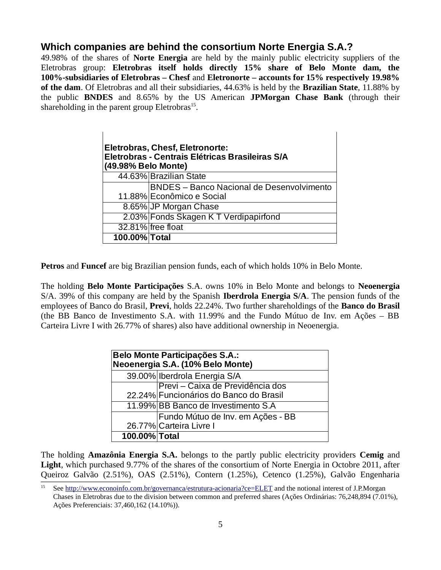#### <span id="page-4-0"></span>**Which companies are behind the consortium Norte Energia S.A.?**

49.98% of the shares of **Norte Energia** are held by the mainly public electricity suppliers of the Eletrobras group: **Eletrobras itself holds directly 15% share of Belo Monte dam, the 100%-subsidiaries of Eletrobras – Chesf** and **Eletronorte – accounts for 15% respectively 19.98% of the dam**. Of Eletrobras and all their subsidiaries, 44.63% is held by the **Brazilian State**, 11.88% by the public **BNDES** and 8.65% by the US American **JPMorgan Chase Bank** (through their shareholding in the parent group Eletrobras<sup>[15](#page-4-1)</sup>.

| Eletrobras, Chesf, Eletronorte:<br>Eletrobras - Centrais Elétricas Brasileiras S/A<br>(49.98% Belo Monte) |                                                  |  |
|-----------------------------------------------------------------------------------------------------------|--------------------------------------------------|--|
|                                                                                                           | 44.63% Brazilian State                           |  |
|                                                                                                           | <b>BNDES</b> – Banco Nacional de Desenvolvimento |  |
|                                                                                                           | 11.88% Econômico e Social                        |  |
|                                                                                                           | 8.65% JP Morgan Chase                            |  |
|                                                                                                           | 2.03% Fonds Skagen K T Verdipapirfond            |  |
|                                                                                                           | 32.81% free float                                |  |
| 100.00% Total                                                                                             |                                                  |  |

**Petros** and **Funcef** are big Brazilian pension funds, each of which holds 10% in Belo Monte.

The holding **Belo Monte Participações** S.A. owns 10% in Belo Monte and belongs to **Neoenergia** S/A. 39% of this company are held by the Spanish **Iberdrola Energia S/A**. The pension funds of the employees of Banco do Brasil, **Previ**, holds 22.24%. Two further shareholdings of the **Banco do Brasil** (the BB Banco de Investimento S.A. with 11.99% and the Fundo Mútuo de Inv. em Ações – BB Carteira Livre I with 26.77% of shares) also have additional ownership in Neoenergia.

| <b>Belo Monte Participações S.A.:</b><br>Neoenergia S.A. (10% Belo Monte) |                                        |  |
|---------------------------------------------------------------------------|----------------------------------------|--|
|                                                                           | 39.00% Iberdrola Energia S/A           |  |
|                                                                           | Previ - Caixa de Previdência dos       |  |
|                                                                           | 22.24% Funcionários do Banco do Brasil |  |
|                                                                           | 11.99% BB Banco de Investimento S.A    |  |
|                                                                           | Fundo Mútuo de Inv. em Ações - BB      |  |
|                                                                           | 26.77% Carteira Livre I                |  |
| 100.00% Total                                                             |                                        |  |

The holding **Amazônia Energia S.A.** belongs to the partly public electricity providers **Cemig** and **Light**, which purchased 9.77% of the shares of the consortium of Norte Energia in Octobre 2011, after Queiroz Galvão (2.51%), OAS (2.51%), Contern (1.25%), Cetenco (1.25%), Galvão Engenharia

<span id="page-4-1"></span><sup>15</sup> See<http://www.econoinfo.com.br/governanca/estrutura-acionaria?ce=ELET>and the notional interest of J.P.Morgan Chases in Eletrobras due to the division between common and preferred shares (Ações Ordinárias: 76,248,894 (7.01%), Ações Preferenciais: 37,460,162 (14.10%)).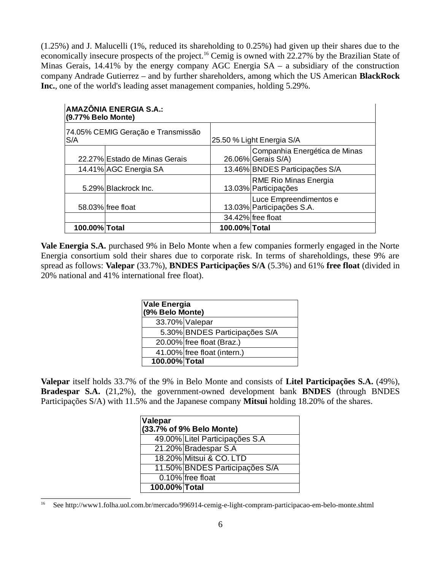(1.25%) and J. Malucelli (1%, reduced its shareholding to 0.25%) had given up their shares due to the economically insecure prospects of the project.<sup>[16](#page-5-0)</sup> Cemig is owned with 22.27% by the Brazilian State of Minas Gerais, 14.41% by the energy company AGC Energia SA – a subsidiary of the construction company Andrade Gutierrez – and by further shareholders, among which the US American **BlackRock Inc.**, one of the world's leading asset management companies, holding 5.29%.

| AMAZÔNIA ENERGIA S.A.:<br>(9.77% Belo Monte) |                               |                           |                                                     |
|----------------------------------------------|-------------------------------|---------------------------|-----------------------------------------------------|
| 74.05% CEMIG Geração e Transmissão<br>S/A    |                               | 25.50 % Light Energia S/A |                                                     |
|                                              | 22.27% Estado de Minas Gerais |                           | Companhia Energética de Minas<br>26.06% Gerais S/A) |
|                                              | 14.41% AGC Energia SA         |                           | 13.46% BNDES Participações S/A                      |
|                                              | 5.29% Blackrock Inc.          |                           | RME Rio Minas Energia<br>13.03% Participações       |
|                                              | 58.03% free float             |                           | Luce Empreendimentos e<br>13.03% Participações S.A. |
|                                              |                               |                           | 34.42% free float                                   |
| 100.00% Total                                |                               | 100.00% Total             |                                                     |

**Vale Energia S.A.** purchased 9% in Belo Monte when a few companies formerly engaged in the Norte Energia consortium sold their shares due to corporate risk. In terms of shareholdings, these 9% are spread as follows: **Valepar** (33.7%), **BNDES Participações S/A** (5.3%) and 61% **free float** (divided in 20% national and 41% international free float).

| <b>Vale Energia</b><br>(9% Belo Monte) |                               |  |
|----------------------------------------|-------------------------------|--|
|                                        | 33.70% Valepar                |  |
|                                        | 5.30% BNDES Participações S/A |  |
|                                        | 20.00% free float (Braz.)     |  |
|                                        | 41.00% free float (intern.)   |  |
| 100.00% Total                          |                               |  |

**Valepar** itself holds 33.7% of the 9% in Belo Monte and consists of **Litel Participações S.A.** (49%), **Bradespar S.A.** (21,2%), the government-owned development bank **BNDES** (through BNDES Participações S/A) with 11.5% and the Japanese company **Mitsui** holding 18.20% of the shares.

| <b>Valepar</b><br>(33.7% of 9% Belo Monte) |                                |  |
|--------------------------------------------|--------------------------------|--|
|                                            | 49.00% Litel Participações S.A |  |
|                                            | 21.20% Bradespar S.A           |  |
|                                            | 18.20% Mitsui & CO. LTD        |  |
|                                            | 11.50% BNDES Participações S/A |  |
|                                            | 0.10% free float               |  |
| 100.00% Total                              |                                |  |

<span id="page-5-0"></span><sup>16</sup> See http://www1.folha.uol.com.br/mercado/996914-cemig-e-light-compram-participacao-em-belo-monte.shtml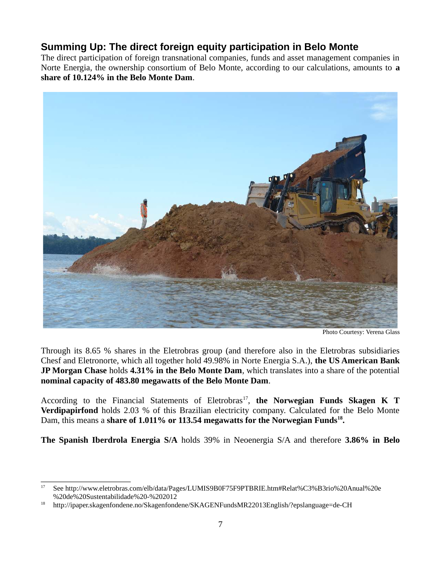#### <span id="page-6-0"></span>**Summing Up: The direct foreign equity participation in Belo Monte**

The direct participation of foreign transnational companies, funds and asset management companies in Norte Energia, the ownership consortium of Belo Monte, according to our calculations, amounts to **a share of 10.124% in the Belo Monte Dam**.



Photo Courtesy: Verena Glass

Through its 8.65 % shares in the Eletrobras group (and therefore also in the Eletrobras subsidiaries Chesf and Eletronorte, which all together hold 49.98% in Norte Energia S.A.), **the US American Bank JP Morgan Chase** holds **4.31% in the Belo Monte Dam**, which translates into a share of the potential **nominal capacity of 483.80 megawatts of the Belo Monte Dam**.

According to the Financial Statements of Eletrobras<sup>[17](#page-6-1)</sup>, **the Norwegian Funds Skagen K T Verdipapirfond** holds 2.03 % of this Brazilian electricity company. Calculated for the Belo Monte Dam, this means a **share of 1.011% or 113.54 megawatts for the Norwegian Funds[18](#page-6-2) .**

**The Spanish Iberdrola Energia S/A** holds 39% in Neoenergia S/A and therefore **3.86% in Belo**

<span id="page-6-1"></span><sup>17</sup> See http://www.eletrobras.com/elb/data/Pages/LUMIS9B0F75F9PTBRIE.htm#Relat%C3%B3rio%20Anual%20e %20de%20Sustentabilidade%20-%202012

<span id="page-6-2"></span> $18$  http://ipaper.skagenfondene.no/Skagenfondene/SKAGENFundsMR22013English/?epslanguage=de-CH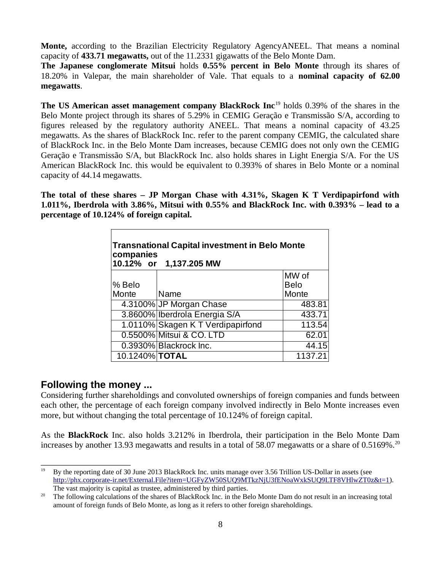**Monte,** according to the Brazilian Electricity Regulatory AgencyANEEL. That means a nominal capacity of **433.71 megawatts,** out of the 11.2331 gigawatts of the Belo Monte Dam.

**The Japanese conglomerate Mitsui** holds **0.55% percent in Belo Monte** through its shares of 18.20% in Valepar, the main shareholder of Vale. That equals to a **nominal capacity of 62.00 megawatts**.

**The US American asset management company BlackRock Inc<sup>[19](#page-7-1)</sup> holds 0.39% of the shares in the** Belo Monte project through its shares of 5.29% in CEMIG Geração e Transmissão S/A, according to figures released by the regulatory authority ANEEL. That means a nominal capacity of 43.25 megawatts. As the shares of BlackRock Inc. refer to the parent company CEMIG, the calculated share of BlackRock Inc. in the Belo Monte Dam increases, because CEMIG does not only own the CEMIG Geração e Transmissão S/A, but BlackRock Inc. also holds shares in Light Energia S/A. For the US American BlackRock Inc. this would be equivalent to 0.393% of shares in Belo Monte or a nominal capacity of 44.14 megawatts.

**The total of these shares – JP Morgan Chase with 4.31%, Skagen K T Verdipapirfond with 1.011%, Iberdrola with 3.86%, Mitsui with 0.55% and BlackRock Inc. with 0.393% – lead to a percentage of 10.124% of foreign capital.**

| <b>Transnational Capital investment in Belo Monte</b><br>companies<br>10.12% or 1,137.205 MW |                                   |             |
|----------------------------------------------------------------------------------------------|-----------------------------------|-------------|
|                                                                                              |                                   | MW of       |
| % Belo                                                                                       |                                   | <b>Belo</b> |
| Monte                                                                                        | Name                              | Monte       |
|                                                                                              | 4.3100% JP Morgan Chase           | 483.81      |
|                                                                                              | 3.8600% Iberdrola Energia S/A     | 433.71      |
|                                                                                              | 1.0110% Skagen K T Verdipapirfond | 113.54      |
|                                                                                              | 0.5500% Mitsui & CO. LTD          | 62.01       |
|                                                                                              | 0.3930% Blackrock Inc.            | 44.15       |
| 10.1240% <b>TOTAL</b>                                                                        |                                   | 1137.21     |

#### <span id="page-7-0"></span>**Following the money ...**

Considering further shareholdings and convoluted ownerships of foreign companies and funds between each other, the percentage of each foreign company involved indirectly in Belo Monte increases even more, but without changing the total percentage of 10.124% of foreign capital.

As the **BlackRock** Inc. also holds 3.212% in Iberdrola, their participation in the Belo Monte Dam increases by another 13.93 megawatts and results in a total of 58.07 megawatts or a share of 0.5169%.<sup>[20](#page-7-2)</sup>

<span id="page-7-1"></span><sup>&</sup>lt;sup>19</sup> By the reporting date of 30 June 2013 BlackRock Inc. units manage over 3.56 Trillion US-Dollar in assets (see [http://phx.corporate-ir.net/External.File?item=UGFyZW50SUQ9MTkzNjU3fENoaWxkSUQ9LTF8VHlwZT0z&t=1\)](http://phx.corporate-ir.net/External.File?item=UGFyZW50SUQ9MTkzNjU3fENoaWxkSUQ9LTF8VHlwZT0z&t=1). The vast majority is capital as trustee, administered by third parties.

<span id="page-7-2"></span><sup>&</sup>lt;sup>20</sup> The following calculations of the shares of BlackRock Inc. in the Belo Monte Dam do not result in an increasing total amount of foreign funds of Belo Monte, as long as it refers to other foreign shareholdings.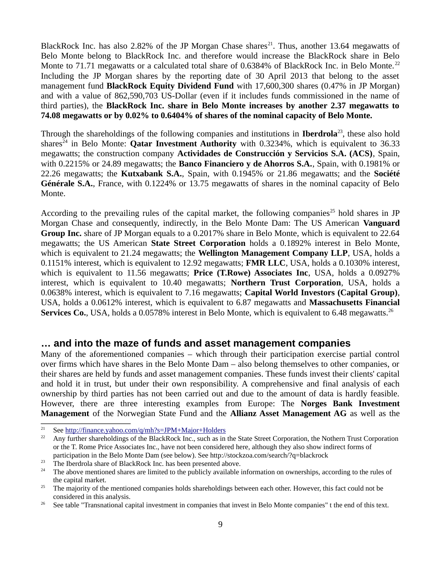BlackRock Inc. has also 2.82% of the JP Morgan Chase shares<sup>[21](#page-8-1)</sup>. Thus, another 13.64 megawatts of Belo Monte belong to BlackRock Inc. and therefore would increase the BlackRock share in Belo Monte to 71.71 megawatts or a calculated total share of 0.6384% of BlackRock Inc. in Belo Monte.<sup>[22](#page-8-2)</sup> Including the JP Morgan shares by the reporting date of 30 April 2013 that belong to the asset management fund **BlackRock Equity Dividend Fund** with 17,600,300 shares (0.47% in JP Morgan) and with a value of 862,590,703 US-Dollar (even if it includes funds commissioned in the name of third parties), the **BlackRock Inc. share in Belo Monte increases by another 2.37 megawatts to 74.08 megawatts or by 0.02% to 0.6404% of shares of the nominal capacity of Belo Monte.**

Through the shareholdings of the following companies and institutions in **Iberdrola**[23](#page-8-3), these also hold shares<sup> $24$ </sup> in Belo Monte: **Qatar Investment Authority** with 0.3234%, which is equivalent to 36.33 megawatts; the construction company **Actividades de Construcción y Servicios S.A. (ACS)**, Spain, with 0.2215% or 24.89 megawatts; the **Banco Financiero y de Ahorros S.A.**, Spain, with 0.1981% or 22.26 megawatts; the **Kutxabank S.A.**, Spain, with 0.1945% or 21.86 megawatts; and the **Société Générale S.A.**, France, with 0.1224% or 13.75 megawatts of shares in the nominal capacity of Belo Monte.

According to the prevailing rules of the capital market, the following companies<sup>[25](#page-8-5)</sup> hold shares in JP Morgan Chase and consequently, indirectly, in the Belo Monte Dam: The US American **Vanguard Group Inc.** share of JP Morgan equals to a 0.2017% share in Belo Monte, which is equivalent to 22.64 megawatts; the US American **State Street Corporation** holds a 0.1892% interest in Belo Monte, which is equivalent to 21.24 megawatts; the **Wellington Management Company LLP**, USA, holds a 0.1151% interest, which is equivalent to 12.92 megawatts; **FMR LLC**, USA, holds a 0.1030% interest, which is equivalent to 11.56 megawatts; **Price (T.Rowe) Associates Inc**, USA, holds a 0.0927% interest, which is equivalent to 10.40 megawatts; **Northern Trust Corporation**, USA, holds a 0.0638% interest, which is equivalent to 7.16 megawatts; **Capital World Investors (Capital Group)**, USA, holds a 0.0612% interest, which is equivalent to 6.87 megawatts and **Massachusetts Financial Services Co.**, USA, holds a 0.0578% interest in Belo Monte, which is equivalent to 6.48 megawatts.<sup>[26](#page-8-6)</sup>

#### <span id="page-8-0"></span>**… and into the maze of funds and asset management companies**

Many of the aforementioned companies – which through their participation exercise partial control over firms which have shares in the Belo Monte Dam – also belong themselves to other companies, or their shares are held by funds and asset management companies. These funds invest their clients' capital and hold it in trust, but under their own responsibility. A comprehensive and final analysis of each ownership by third parties has not been carried out and due to the amount of data is hardly feasible. However, there are three interesting examples from Europe: The **Norges Bank Investment Management** of the Norwegian State Fund and the **Allianz Asset Management AG** as well as the

<span id="page-8-1"></span><sup>&</sup>lt;sup>21</sup> See <u>http://finance.yahoo.com/q/mh?s=JPM+Major+Holders</u><br><sup>22</sup> Apy further shareholdings of the Black Bock Inc., such as in

<span id="page-8-2"></span><sup>22</sup> Any further shareholdings of the BlackRock Inc., such as in the State Street Corporation, the Nothern Trust Corporation or the T. Rome Price Associates Inc., have not been considered here, although they also show indirect forms of participation in the Belo Monte Dam (see below). See http://stockzoa.com/search/?q=blackrock

<span id="page-8-3"></span><sup>&</sup>lt;sup>23</sup> The Iberdrola share of BlackRock Inc. has been presented above.<br><sup>24</sup> The above mentioned shares are limited to the publicly available is

<span id="page-8-4"></span><sup>24</sup> The above mentioned shares are limited to the publicly available information on ownerships, according to the rules of the capital market.

<span id="page-8-5"></span><sup>&</sup>lt;sup>25</sup> The majority of the mentioned companies holds shareholdings between each other. However, this fact could not be considered in this analysis.

<span id="page-8-6"></span><sup>&</sup>lt;sup>26</sup> See table "Transnational capital investment in companies that invest in Belo Monte companies" t the end of this text.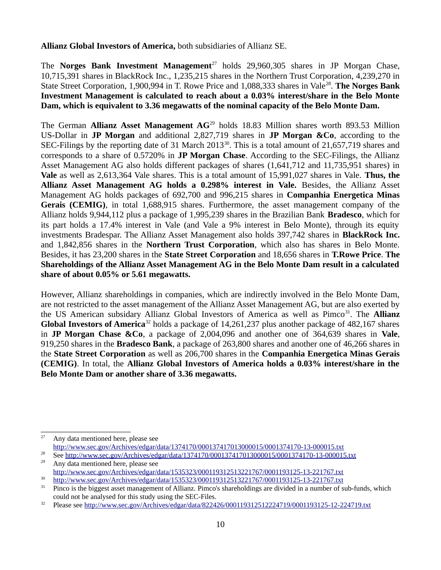**Allianz Global Investors of America,** both subsidiaries of Allianz SE.

The **Norges Bank Investment Management**<sup>[27](#page-9-0)</sup> holds 29,960,305 shares in JP Morgan Chase, 10,715,391 shares in BlackRock Inc., 1,235,215 shares in the Northern Trust Corporation, 4,239,270 in State Street Corporation, 1,900,994 in T. Rowe Price and 1,088,333 shares in Vale<sup>[28](#page-9-1)</sup>. The Norges Bank **Investment Management is calculated to reach about a 0.03% interest/share in the Belo Monte Dam, which is equivalent to 3.36 megawatts of the nominal capacity of the Belo Monte Dam.**

The German **Allianz Asset Management AG**[29](#page-9-2) holds 18.83 Million shares worth 893.53 Million US-Dollar in **JP Morgan** and additional 2,827,719 shares in **JP Morgan &Co**, according to the SEC-Filings by the reporting date of 31 March 2013<sup>[30](#page-9-3)</sup>. This is a total amount of 21,657,719 shares and corresponds to a share of 0.5720% in **JP Morgan Chase**. According to the SEC-Filings, the Allianz Asset Management AG also holds different packages of shares (1,641,712 and 11,735,951 shares) in **Vale** as well as 2,613,364 Vale shares. This is a total amount of 15,991,027 shares in Vale. **Thus, the Allianz Asset Management AG holds a 0.298% interest in Vale.** Besides, the Allianz Asset Management AG holds packages of 692,700 and 996,215 shares in **Companhia Energetica Minas Gerais (CEMIG)**, in total 1,688,915 shares. Furthermore, the asset management company of the Allianz holds 9,944,112 plus a package of 1,995,239 shares in the Brazilian Bank **Bradesco**, which for its part holds a 17.4% interest in Vale (and Vale a 9% interest in Belo Monte), through its equity investments Bradespar. The Allianz Asset Management also holds 397,742 shares in **BlackRock Inc.** and 1,842,856 shares in the **Northern Trust Corporation**, which also has shares in Belo Monte. Besides, it has 23,200 shares in the **State Street Corporation** and 18,656 shares in **T.Rowe Price**. **The Shareholdings of the Allianz Asset Management AG in the Belo Monte Dam result in a calculated share of about 0.05% or 5.61 megawatts.**

However, Allianz shareholdings in companies, which are indirectly involved in the Belo Monte Dam, are not restricted to the asset management of the Allianz Asset Management AG, but are also exerted by the US American subsidary Allianz Global Investors of America as well as Pimco<sup>[31](#page-9-4)</sup>. The **Allianz Global Investors of America**[32](#page-9-5) holds a package of 14,261,237 plus another package of 482,167 shares in **JP Morgan Chase &Co**, a package of 2,004,096 and another one of 364,639 shares in **Vale**, 919,250 shares in the **Bradesco Bank**, a package of 263,800 shares and another one of 46,266 shares in the **State Street Corporation** as well as 206,700 shares in the **Companhia Energetica Minas Gerais (CEMIG)**. In total, the **Allianz Global Investors of America holds a 0.03% interest/share in the Belo Monte Dam or another share of 3.36 megawatts.**

<span id="page-9-0"></span> $27$  Any data mentioned here, please see <http://www.sec.gov/Archives/edgar/data/1374170/000137417013000015/0001374170-13-000015.txt>

<span id="page-9-1"></span><sup>&</sup>lt;sup>28</sup> See<http://www.sec.gov/Archives/edgar/data/1374170/000137417013000015/0001374170-13-000015.txt>

<span id="page-9-2"></span>Any data mentioned here, please see <http://www.sec.gov/Archives/edgar/data/1535323/000119312513221767/0001193125-13-221767.txt>

<span id="page-9-3"></span><sup>30</sup> <http://www.sec.gov/Archives/edgar/data/1535323/000119312513221767/0001193125-13-221767.txt>

<span id="page-9-4"></span><sup>31</sup> Pinco is the biggest asset management of Allianz. Pimco's shareholdings are divided in a number of sub-funds, which could not be analysed for this study using the SEC-Files.

<span id="page-9-5"></span><sup>32</sup> Please see<http://www.sec.gov/Archives/edgar/data/822426/000119312512224719/0001193125-12-224719.txt>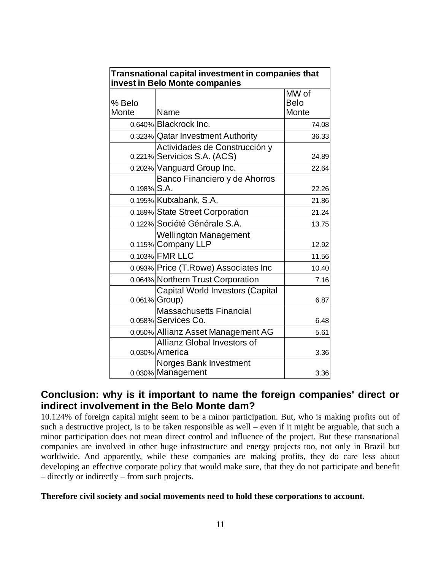| <b>Transnational capital investment in companies that</b><br>invest in Belo Monte companies |                                                              |                               |
|---------------------------------------------------------------------------------------------|--------------------------------------------------------------|-------------------------------|
| % Belo<br>Monte                                                                             | Name                                                         | MW of<br><b>Belo</b><br>Monte |
|                                                                                             | 0.640% Blackrock Inc.                                        | 74.08                         |
|                                                                                             | 0.323% Qatar Investment Authority                            | 36.33                         |
|                                                                                             | Actividades de Construcción y<br>0.221% Servicios S.A. (ACS) | 24.89                         |
|                                                                                             | 0.202% Vanguard Group Inc.                                   | 22.64                         |
| $0.198\%$ S.A.                                                                              | Banco Financiero y de Ahorros                                | 22.26                         |
|                                                                                             | 0.195% Kutxabank, S.A.                                       | 21.86                         |
|                                                                                             | 0.189% State Street Corporation                              | 21.24                         |
|                                                                                             | 0.122% Société Générale S.A.                                 | 13.75                         |
|                                                                                             | Wellington Management<br>0.115% Company LLP                  | 12.92                         |
|                                                                                             | 0.103% FMR LLC                                               | 11.56                         |
|                                                                                             | 0.093% Price (T.Rowe) Associates Inc                         | 10.40                         |
|                                                                                             | 0.064% Northern Trust Corporation                            | 7.16                          |
|                                                                                             | Capital World Investors (Capital<br>$0.061\%$ Group)         | 6.87                          |
|                                                                                             | <b>Massachusetts Financial</b><br>0.058% Services Co.        | 6.48                          |
|                                                                                             | 0.050% Allianz Asset Management AG                           | 5.61                          |
|                                                                                             | Allianz Global Investors of<br>0.030% America                | 3.36                          |
|                                                                                             | Norges Bank Investment<br>0.030% Management                  | 3.36                          |

#### <span id="page-10-0"></span>**Conclusion: why is it important to name the foreign companies' direct or indirect involvement in the Belo Monte dam?**

10.124% of foreign capital might seem to be a minor participation. But, who is making profits out of such a destructive project, is to be taken responsible as well – even if it might be arguable, that such a minor participation does not mean direct control and influence of the project. But these transnational companies are involved in other huge infrastructure and energy projects too, not only in Brazil but worldwide. And apparently, while these companies are making profits, they do care less about developing an effective corporate policy that would make sure, that they do not participate and benefit – directly or indirectly – from such projects.

#### **Therefore civil society and social movements need to hold these corporations to account.**